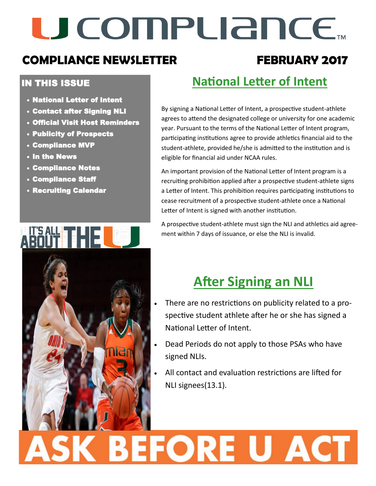## U COMPLIANCE.

### **COMPLIANCE NEWSLETTER FEBRUARY 2017**

#### IN THIS ISSUE

- National Letter of Intent
- Contact after Signing NLI
- Official Visit Host Reminders
- Publicity of Prospects
- Compliance MVP
- In the News
- Compliance Notes
- Compliance Staff
- Recruiting Calendar

HESALE THE LOCAL COMPUTER LOCAL COMPUTER COMPUTER LOCAL COMPUTER LOCAL COMPUTER LOCAL COMPUTER LOCAL COMPUTER

### **National Letter of Intent**

By signing a National Letter of Intent, a prospective student-athlete agrees to attend the designated college or university for one academic year. Pursuant to the terms of the National Letter of Intent program, participating institutions agree to provide athletics financial aid to the student-athlete, provided he/she is admitted to the institution and is eligible for financial aid under NCAA rules.

An important provision of the National Letter of Intent program is a recruiting prohibition applied after a prospective student-athlete signs a Letter of Intent. This prohibition requires participating institutions to cease recruitment of a prospective student-athlete once a National Letter of Intent is signed with another institution.

A prospective student-athlete must sign the NLI and athletics aid agreement within 7 days of issuance, or else the NLI is invalid.

### **After Signing an NLI**

- There are no restrictions on publicity related to a prospective student athlete after he or she has signed a National Letter of Intent.
- Dead Periods do not apply to those PSAs who have signed NLIs.
- All contact and evaluation restrictions are lifted for NLI signees(13.1).

# ASK BEFORE U ACT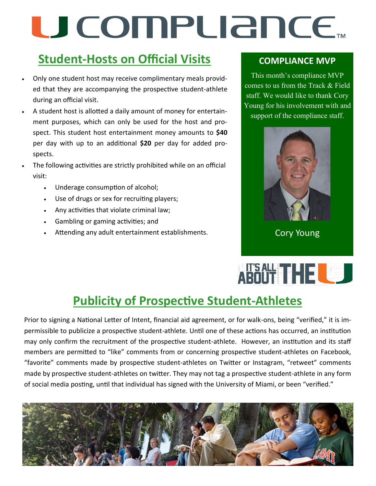## U COMPUANCE...

### **Student-Hosts on Official Visits**

- Only one student host may receive complimentary meals provided that they are accompanying the prospective student-athlete during an official visit.
- A student host is allotted a daily amount of money for entertainment purposes, which can only be used for the host and prospect. This student host entertainment money amounts to **\$40** per day with up to an additional **\$20** per day for added prospects.
- The following activities are strictly prohibited while on an official visit:
	- Underage consumption of alcohol;
	- Use of drugs or sex for recruiting players;
	- Any activities that violate criminal law;
	- Gambling or gaming activities; and
	- Attending any adult entertainment establishments.

#### **COMPLIANCE MVP**

This month's compliance MVP comes to us from the Track & Field staff. We would like to thank Cory Young for his involvement with and support of the compliance staff.



Cory Young

## ABOUT THE

### **Publicity of Prospective Student-Athletes**

Prior to signing a National Letter of Intent, financial aid agreement, or for walk-ons, being "verified," it is impermissible to publicize a prospective student-athlete. Until one of these actions has occurred, an institution may only confirm the recruitment of the prospective student-athlete. However, an institution and its staff members are permitted to "like" comments from or concerning prospective student-athletes on Facebook, "favorite" comments made by prospective student-athletes on Twitter or Instagram, "retweet" comments made by prospective student-athletes on twitter. They may not tag a prospective student-athlete in any form of social media posting, until that individual has signed with the University of Miami, or been "verified."

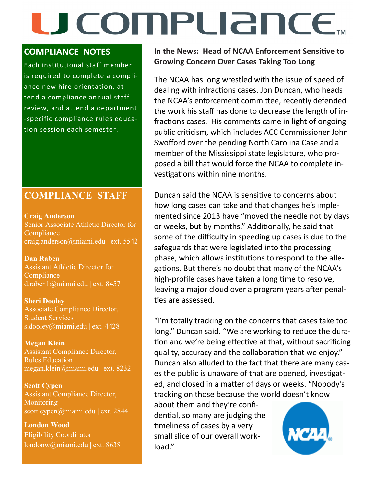## U COMPLIANCE.

#### **COMPLIANCE NOTES**

Each institutional staff member is required to complete a compliance new hire orientation, attend a compliance annual staff review, and attend a department -specific compliance rules education session each semester.

#### **COMPLIANCE STAFF**

**Craig Anderson**  Senior Associate Athletic Director for **Compliance** craig.anderson@miami.edu | ext. 5542

**Dan Raben**  Assistant Athletic Director for **Compliance** d.raben1@miami.edu | ext. 8457

**Sheri Dooley** Associate Compliance Director, Student Services s.dooley@miami.edu | ext. 4428

**Megan Klein** Assistant Compliance Director, Rules Education megan.klein@miami.edu | ext. 8232

**Scott Cypen** Assistant Compliance Director, **Monitoring** scott.cypen@miami.edu | ext. 2844

**London Wood** Eligibility Coordinator londonw@miami.edu | ext. 8638 **In the News: Head of NCAA Enforcement Sensitive to Growing Concern Over Cases Taking Too Long**

The NCAA has long wrestled with the issue of speed of dealing with infractions cases. Jon Duncan, who heads the NCAA's enforcement committee, recently defended the work his staff has done to decrease the length of infractions cases. His comments came in light of ongoing public criticism, which includes ACC Commissioner John Swofford over the pending North Carolina Case and a member of the Mississippi state legislature, who proposed a bill that would force the NCAA to complete investigations within nine months.

Duncan said the NCAA is sensitive to concerns about how long cases can take and that changes he's implemented since 2013 have "moved the needle not by days or weeks, but by months." Additionally, he said that some of the difficulty in speeding up cases is due to the safeguards that were legislated into the processing phase, which allows institutions to respond to the allegations. But there's no doubt that many of the NCAA's high-profile cases have taken a long time to resolve, leaving a major cloud over a program years after penalties are assessed.

"I'm totally tracking on the concerns that cases take too long," Duncan said. "We are working to reduce the duration and we're being effective at that, without sacrificing quality, accuracy and the collaboration that we enjoy." Duncan also alluded to the fact that there are many cases the public is unaware of that are opened, investigated, and closed in a matter of days or weeks. "Nobody's tracking on those because the world doesn't know

about them and they're confidential, so many are judging the timeliness of cases by a very small slice of our overall workload."